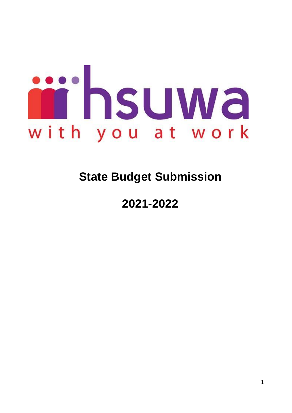

# **State Budget Submission**

## **2021-2022**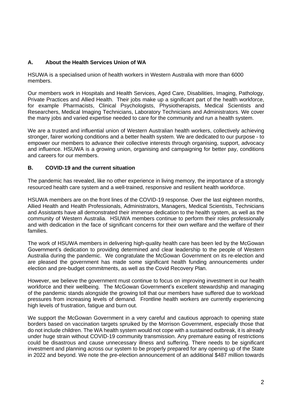## **A. About the Health Services Union of WA**

HSUWA is a specialised union of health workers in Western Australia with more than 6000 members.

Our members work in Hospitals and Health Services, Aged Care, Disabilities, Imaging, Pathology, Private Practices and Allied Health. Their jobs make up a significant part of the health workforce, for example Pharmacists, Clinical Psychologists, Physiotherapists, Medical Scientists and Researchers, Medical Imaging Technicians, Laboratory Technicians and Administrators. We cover the many jobs and varied expertise needed to care for the community and run a health system.

We are a trusted and influential union of Western Australian health workers, collectively achieving stronger, fairer working conditions and a better health system. We are dedicated to our purpose - to empower our members to advance their collective interests through organising, support, advocacy and influence. HSUWA is a growing union, organising and campaigning for better pay, conditions and careers for our members.

## **B. COVID-19 and the current situation**

The pandemic has revealed, like no other experience in living memory, the importance of a strongly resourced health care system and a well-trained, responsive and resilient health workforce.

HSUWA members are on the front lines of the COVID-19 response. Over the last eighteen months, Allied Health and Health Professionals, Administrators, Managers, Medical Scientists, Technicians and Assistants have all demonstrated their immense dedication to the health system, as well as the community of Western Australia. HSUWA members continue to perform their roles professionally and with dedication in the face of significant concerns for their own welfare and the welfare of their families.

The work of HSUWA members in delivering high-quality health care has been led by the McGowan Government's dedication to providing determined and clear leadership to the people of Western Australia during the pandemic. We congratulate the McGowan Government on its re-election and are pleased the government has made some significant health funding announcements under election and pre-budget commitments, as well as the Covid Recovery Plan.

However, we believe the government must continue to focus on improving investment in our health workforce and their wellbeing. The McGowan Government's excellent stewardship and managing of the pandemic stands alongside the growing toll that our members have suffered due to workload pressures from increasing levels of demand. Frontline health workers are currently experiencing high levels of frustration, fatigue and burn out.

We support the McGowan Government in a very careful and cautious approach to opening state borders based on vaccination targets spruiked by the Morrison Government, especially those that do not include children. The WA health system would not cope with a sustained outbreak, it is already under huge strain without COVID-19 community transmission. Any premature easing of restrictions could be disastrous and cause unnecessary illness and suffering. There needs to be significant investment and planning across our system to be properly prepared for any opening up of the State in 2022 and beyond. We note the pre-election announcement of an additional \$487 million towards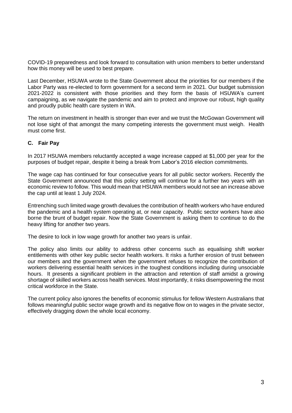COVID-19 preparedness and look forward to consultation with union members to better understand how this money will be used to best prepare.

Last December, HSUWA wrote to the State Government about the priorities for our members if the Labor Party was re-elected to form government for a second term in 2021. Our budget submission 2021-2022 is consistent with those priorities and they form the basis of HSUWA's current campaigning, as we navigate the pandemic and aim to protect and improve our robust, high quality and proudly public health care system in WA.

The return on investment in health is stronger than ever and we trust the McGowan Government will not lose sight of that amongst the many competing interests the government must weigh. Health must come first.

## **C. Fair Pay**

In 2017 HSUWA members reluctantly accepted a wage increase capped at \$1,000 per year for the purposes of budget repair, despite it being a break from Labor's 2016 election commitments.

The wage cap has continued for four consecutive years for all public sector workers. Recently the State Government announced that this policy setting will continue for a further two years with an economic review to follow. This would mean that HSUWA members would not see an increase above the cap until at least 1 July 2024.

Entrenching such limited wage growth devalues the contribution of health workers who have endured the pandemic and a health system operating at, or near capacity. Public sector workers have also borne the brunt of budget repair. Now the State Government is asking them to continue to do the heavy lifting for another two years.

The desire to lock in low wage growth for another two years is unfair.

The policy also limits our ability to address other concerns such as equalising shift worker entitlements with other key public sector health workers. It risks a further erosion of trust between our members and the government when the government refuses to recognize the contribution of workers delivering essential health services in the toughest conditions including during unsociable hours. It presents a significant problem in the attraction and retention of staff amidst a growing shortage of skilled workers across health services. Most importantly, it risks disempowering the most critical workforce in the State.

The current policy also ignores the benefits of economic stimulus for fellow Western Australians that follows meaningful public sector wage growth and its negative flow on to wages in the private sector, effectively dragging down the whole local economy.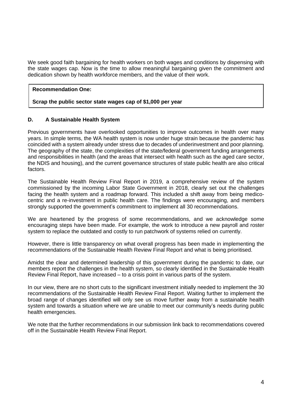We seek good faith bargaining for health workers on both wages and conditions by dispensing with the state wages cap. Now is the time to allow meaningful bargaining given the commitment and dedication shown by health workforce members, and the value of their work.

#### **Recommendation One:**

#### **Scrap the public sector state wages cap of \$1,000 per year**

#### **D. A Sustainable Health System**

Previous governments have overlooked opportunities to improve outcomes in health over many years. In simple terms, the WA health system is now under huge strain because the pandemic has coincided with a system already under stress due to decades of underinvestment and poor planning. The geography of the state, the complexities of the state/federal government funding arrangements and responsibilities in health (and the areas that intersect with health such as the aged care sector, the NDIS and housing), and the current governance structures of state public health are also critical factors.

The Sustainable Health Review Final Report in 2019, a comprehensive review of the system commissioned by the incoming Labor State Government in 2018, clearly set out the challenges facing the health system and a roadmap forward. This included a shift away from being medicocentric and a re-investment in public health care. The findings were encouraging, and members strongly supported the government's commitment to implement all 30 recommendations.

We are heartened by the progress of some recommendations, and we acknowledge some encouraging steps have been made. For example, the work to introduce a new payroll and roster system to replace the outdated and costly to run patchwork of systems relied on currently.

However, there is little transparency on what overall progress has been made in implementing the recommendations of the Sustainable Health Review Final Report and what is being prioritised.

Amidst the clear and determined leadership of this government during the pandemic to date, our members report the challenges in the health system, so clearly identified in the Sustainable Health Review Final Report, have increased – to a crisis point in various parts of the system.

In our view, there are no short cuts to the significant investment initially needed to implement the 30 recommendations of the Sustainable Health Review Final Report. Waiting further to implement the broad range of changes identified will only see us move further away from a sustainable health system and towards a situation where we are unable to meet our community's needs during public health emergencies.

We note that the further recommendations in our submission link back to recommendations covered off in the Sustainable Health Review Final Report.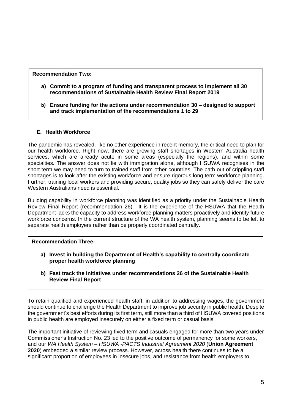## **Recommendation Two:**

- **a) Commit to a program of funding and transparent process to implement all 30 recommendations of Sustainable Health Review Final Report 2019**
- **b) Ensure funding for the actions under recommendation 30 – designed to support and track implementation of the recommendations 1 to 29**

## **E. Health Workforce**

The pandemic has revealed, like no other experience in recent memory, the critical need to plan for our health workforce. Right now, there are growing staff shortages in Western Australia health services, which are already acute in some areas (especially the regions), and within some specialties. The answer does not lie with immigration alone, although HSUWA recognises in the short term we may need to turn to trained staff from other countries. The path out of crippling staff shortages is to look after the existing workforce and ensure rigorous long term workforce planning. Further, training local workers and providing secure, quality jobs so they can safely deliver the care Western Australians need is essential.

Building capability in workforce planning was identified as a priority under the Sustainable Health Review Final Report (recommendation 26). It is the experience of the HSUWA that the Health Department lacks the capacity to address workforce planning matters proactively and identify future workforce concerns. In the current structure of the WA health system, planning seems to be left to separate health employers rather than be properly coordinated centrally.

#### **Recommendation Three:**

- **a) Invest in building the Department of Health's capability to centrally coordinate proper health workforce planning**
- **b) Fast track the initiatives under recommendations 26 of the Sustainable Health Review Final Report**

To retain qualified and experienced health staff, in addition to addressing wages, the government should continue to challenge the Health Department to improve job security in public health. Despite the government's best efforts during its first term, still more than a third of HSUWA covered positions in public health are employed insecurely on either a fixed term or casual basis.

The important initiative of reviewing fixed term and casuals engaged for more than two years under Commissioner's Instruction No. 23 led to the positive outcome of permanency for some workers, and our *WA Health System – HSUWA -PACTS Industrial Agreement 2020* (**Union Agreement 2020**) embedded a similar review process. However, across health there continues to be a significant proportion of employees in insecure jobs, and resistance from health employers to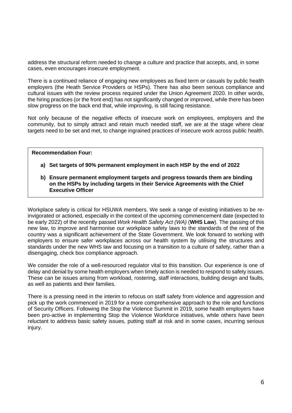address the structural reform needed to change a culture and practice that accepts, and, in some cases, even encourages insecure employment.

There is a continued reliance of engaging new employees as fixed term or casuals by public health employers (the Heath Service Providers or HSPs). There has also been serious compliance and cultural issues with the review process required under the Union Agreement 2020. In other words, the hiring practices (or the front end) has not significantly changed or improved, while there has been slow progress on the back end that, while improving, is still facing resistance.

Not only because of the negative effects of insecure work on employees, employers and the community, but to simply attract and retain much needed staff, we are at the stage where clear targets need to be set and met, to change ingrained practices of insecure work across public health.

#### **Recommendation Four:**

- **a) Set targets of 90% permanent employment in each HSP by the end of 2022**
- **b) Ensure permanent employment targets and progress towards them are binding on the HSPs by including targets in their Service Agreements with the Chief Executive Officer**

Workplace safety is critical for HSUWA members. We seek a range of existing initiatives to be reinvigorated or actioned, especially in the context of the upcoming commencement date (expected to be early 2022) of the recently passed *Work Health Safety Act (WA)* (**WHS Law**). The passing of this new law, to improve and harmonise our workplace safety laws to the standards of the rest of the country was a significant achievement of the State Government. We look forward to working with employers to ensure safer workplaces across our health system by utilising the structures and standards under the new WHS law and focusing on a transition to a culture of safety, rather than a disengaging, check box compliance approach.

We consider the role of a well-resourced regulator vital to this transition. Our experience is one of delay and denial by some health employers when timely action is needed to respond to safety issues. These can be issues arising from workload, rostering, staff interactions, building design and faults, as well as patients and their families.

There is a pressing need in the interim to refocus on staff safety from violence and aggression and pick up the work commenced in 2019 for a more comprehensive approach to the role and functions of Security Officers. Following the Stop the Violence Summit in 2019, some health employers have been pro-active in implementing Stop the Violence Workforce initiatives, while others have been reluctant to address basic safety issues, putting staff at risk and in some cases, incurring serious injury.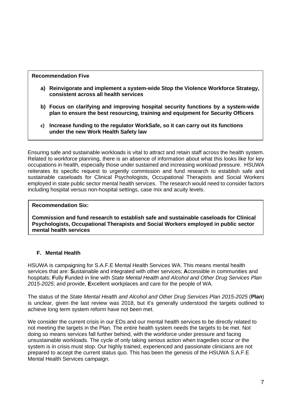## **Recommendation Five**

- **a) Reinvigorate and implement a system-wide Stop the Violence Workforce Strategy, consistent across all health services**
- **b) Focus on clarifying and improving hospital security functions by a system-wide plan to ensure the best resourcing, training and equipment for Security Officers**
- **c) Increase funding to the regulator WorkSafe, so it can carry out its functions under the new Work Health Safety law**

Ensuring safe and sustainable workloads is vital to attract and retain staff across the health system. Related to workforce planning, there is an absence of information about what this looks like for key occupations in health, especially those under sustained and increasing workload pressure. HSUWA reiterates its specific request to urgently commission and fund research to establish safe and sustainable caseloads for Clinical Psychologists, Occupational Therapists and Social Workers employed in state public sector mental health services. The research would need to consider factors including hospital versus non-hospital settings, case mix and acuity levels.

## **Recommendation Six:**

**Commission and fund research to establish safe and sustainable caseloads for Clinical Psychologists, Occupational Therapists and Social Workers employed in public sector mental health services**

## **F. Mental Health**

HSUWA is campaigning for S.A.F.E Mental Health Services WA. This means mental health services that are: **S**ustainable and integrated with other services; **A**ccessible in communities and hospitals; **F**ully **F**unded in line with *State Mental Health and Alcohol and Other Drug Services Plan 2015-2025*; and provide, **E**xcellent workplaces and care for the people of WA.

The status of the *State Mental Health and Alcohol and Other Drug Services Plan 2015-2025* (**Plan**) is unclear, given the last review was 2018, but it's generally understood the targets outlined to achieve long term system reform have not been met.

We consider the current crisis in our EDs and our mental health services to be directly related to not meeting the targets in the Plan. The entire health system needs the targets to be met. Not doing so means services fall further behind, with the workforce under pressure and facing unsustainable workloads. The cycle of only taking serious action when tragedies occur or the system is in crisis must stop. Our highly trained, experienced and passionate clinicians are not prepared to accept the current status quo. This has been the genesis of the HSUWA S.A.F.E Mental Health Services campaign.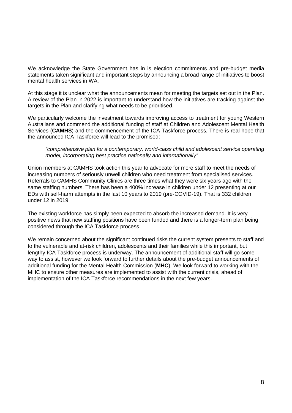We acknowledge the State Government has in is election commitments and pre-budget media statements taken significant and important steps by announcing a broad range of initiatives to boost mental health services in WA.

At this stage it is unclear what the announcements mean for meeting the targets set out in the Plan. A review of the Plan in 2022 is important to understand how the initiatives are tracking against the targets in the Plan and clarifying what needs to be prioritised.

We particularly welcome the investment towards improving access to treatment for young Western Australians and commend the additional funding of staff at Children and Adolescent Mental Health Services (**CAMHS**) and the commencement of the ICA Taskforce process. There is real hope that the announced ICA Taskforce will lead to the promised:

*"comprehensive plan for a contemporary, world-class child and adolescent service operating model, incorporating best practice nationally and internationally"*

Union members at CAMHS took action this year to advocate for more staff to meet the needs of increasing numbers of seriously unwell children who need treatment from specialised services. Referrals to CAMHS Community Clinics are three times what they were six years ago with the same staffing numbers. There has been a 400% increase in children under 12 presenting at our EDs with self-harm attempts in the last 10 years to 2019 (pre-COVID-19). That is 332 children under 12 in 2019.

The existing workforce has simply been expected to absorb the increased demand. It is very positive news that new staffing positions have been funded and there is a longer-term plan being considered through the ICA Taskforce process.

We remain concerned about the significant continued risks the current system presents to staff and to the vulnerable and at-risk children, adolescents and their families while this important, but lengthy ICA Taskforce process is underway. The announcement of additional staff will go some way to assist, however we look forward to further details about the pre-budget announcements of additional funding for the Mental Health Commission (**MHC**). We look forward to working with the MHC to ensure other measures are implemented to assist with the current crisis, ahead of implementation of the ICA Taskforce recommendations in the next few years.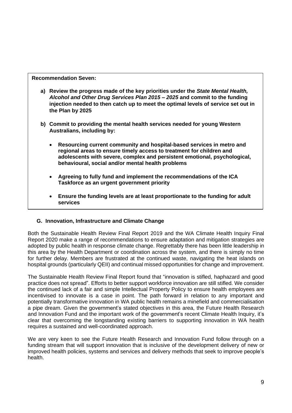**Recommendation Seven:**

- **a) Review the progress made of the key priorities under the** *State Mental Health, Alcohol and Other Drug Services Plan 2015 – 2025* **and commit to the funding injection needed to then catch up to meet the optimal levels of service set out in the Plan by 2025**
- **b) Commit to providing the mental health services needed for young Western Australians, including by:**
	- **Resourcing current community and hospital-based services in metro and regional areas to ensure timely access to treatment for children and adolescents with severe, complex and persistent emotional, psychological, behavioural, social and/or mental health problems**
	- **Agreeing to fully fund and implement the recommendations of the ICA Taskforce as an urgent government priority**
	- **Ensure the funding levels are at least proportionate to the funding for adult services**

## **G. Innovation, Infrastructure and Climate Change**

Both the Sustainable Health Review Final Report 2019 and the WA Climate Health Inquiry Final Report 2020 make a range of recommendations to ensure adaptation and mitigation strategies are adopted by public health in response climate change. Regrettably there has been little leadership in this area by the Health Department or coordination across the system, and there is simply no time for further delay. Members are frustrated at the continued waste, navigating the heat islands on hospital grounds (particularly QEII) and continual missed opportunities for change and improvement.

The Sustainable Health Review Final Report found that "innovation is stifled, haphazard and good practice does not spread". Efforts to better support workforce innovation are still stifled. We consider the continued lack of a fair and simple Intellectual Property Policy to ensure health employees are incentivised to innovate is a case in point. The path forward in relation to any important and potentially transformative innovation in WA public health remains a minefield and commercialisation a pipe dream. Given the government's stated objectives in this area, the Future Health Research and Innovation Fund and the important work of the government's recent Climate Health Inquiry, it's clear that overcoming the longstanding existing barriers to supporting innovation in WA health requires a sustained and well-coordinated approach.

We are very keen to see the Future Health Research and Innovation Fund follow through on a funding stream that will support innovation that is inclusive of the development delivery of new or improved health policies, systems and services and delivery methods that seek to improve people's health.